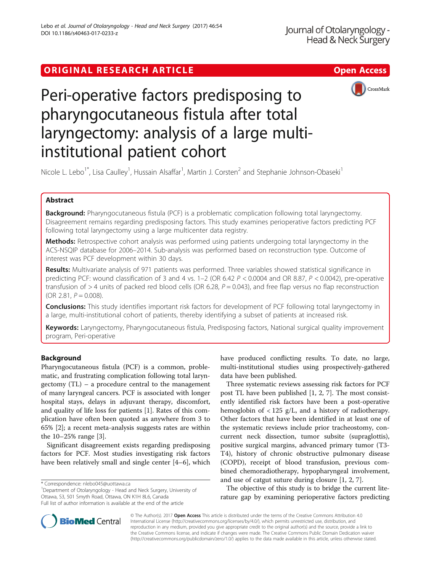# ORIGINAL RESEARCH ARTICLE **External of the Contract Contract Contract Contract Contract Contract Contract Contract Contract Contract Contract Contract Contract Contract Contract Contract Contract Contract Contract Contract**



# Peri-operative factors predisposing to pharyngocutaneous fistula after total laryngectomy: analysis of a large multiinstitutional patient cohort

Nicole L. Lebo<sup>1\*</sup>, Lisa Caulley<sup>1</sup>, Hussain Alsaffar<sup>1</sup>, Martin J. Corsten<sup>2</sup> and Stephanie Johnson-Obaseki<sup>1</sup>

# Abstract

Background: Pharyngocutaneous fistula (PCF) is a problematic complication following total laryngectomy. Disagreement remains regarding predisposing factors. This study examines perioperative factors predicting PCF following total laryngectomy using a large multicenter data registry.

Methods: Retrospective cohort analysis was performed using patients undergoing total laryngectomy in the ACS-NSQIP database for 2006–2014. Sub-analysis was performed based on reconstruction type. Outcome of interest was PCF development within 30 days.

Results: Multivariate analysis of 971 patients was performed. Three variables showed statistical significance in predicting PCF: wound classification of 3 and 4 vs. 1–2 (OR 6.42 P < 0.0004 and OR 8.87, P < 0.0042), pre-operative transfusion of  $>$  4 units of packed red blood cells (OR 6.28,  $P = 0.043$ ), and free flap versus no flap reconstruction  $(OR 2.81, P = 0.008).$ 

**Conclusions:** This study identifies important risk factors for development of PCF following total laryngectomy in a large, multi-institutional cohort of patients, thereby identifying a subset of patients at increased risk.

Keywords: Laryngectomy, Pharyngocutaneous fistula, Predisposing factors, National surgical quality improvement program, Peri-operative

# Background

Pharyngocutaneous fistula (PCF) is a common, problematic, and frustrating complication following total laryngectomy (TL) – a procedure central to the management of many laryngeal cancers. PCF is associated with longer hospital stays, delays in adjuvant therapy, discomfort, and quality of life loss for patients [[1](#page-6-0)]. Rates of this complication have often been quoted as anywhere from 3 to 65% [[2\]](#page-6-0); a recent meta-analysis suggests rates are within the 10–25% range [[3\]](#page-6-0).

Significant disagreement exists regarding predisposing factors for PCF. Most studies investigating risk factors have been relatively small and single center [[4](#page-6-0)–[6\]](#page-6-0), which

\* Correspondence: [nlebo045@uottawa.ca](mailto:nlebo045@uottawa.ca) <sup>1</sup>

<sup>1</sup>Department of Otolaryngology - Head and Neck Surgery, University of Ottawa, S3, 501 Smyth Road, Ottawa, ON K1H 8L6, Canada Full list of author information is available at the end of the article

have produced conflicting results. To date, no large, multi-institutional studies using prospectively-gathered data have been published.

Three systematic reviews assessing risk factors for PCF post TL have been published [\[1](#page-6-0), [2, 7\]](#page-6-0). The most consistently identified risk factors have been a post-operative hemoglobin of < 125 g/L, and a history of radiotherapy. Other factors that have been identified in at least one of the systematic reviews include prior tracheostomy, concurrent neck dissection, tumor subsite (supraglottis), positive surgical margins, advanced primary tumor (T3- T4), history of chronic obstructive pulmonary disease (COPD), receipt of blood transfusion, previous combined chemoradiotherapy, hypopharyngeal involvement, and use of catgut suture during closure [\[1, 2, 7\]](#page-6-0).

The objective of this study is to bridge the current literature gap by examining perioperative factors predicting



© The Author(s). 2017 **Open Access** This article is distributed under the terms of the Creative Commons Attribution 4.0 International License [\(http://creativecommons.org/licenses/by/4.0/](http://creativecommons.org/licenses/by/4.0/)), which permits unrestricted use, distribution, and reproduction in any medium, provided you give appropriate credit to the original author(s) and the source, provide a link to the Creative Commons license, and indicate if changes were made. The Creative Commons Public Domain Dedication waiver [\(http://creativecommons.org/publicdomain/zero/1.0/](http://creativecommons.org/publicdomain/zero/1.0/)) applies to the data made available in this article, unless otherwise stated.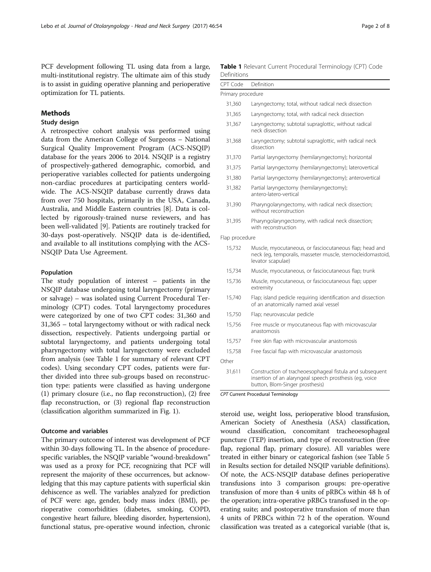PCF development following TL using data from a large, multi-institutional registry. The ultimate aim of this study is to assist in guiding operative planning and perioperative optimization for TL patients.

# Methods

# Study design

A retrospective cohort analysis was performed using data from the American College of Surgeons – National Surgical Quality Improvement Program (ACS-NSQIP) database for the years 2006 to 2014. NSQIP is a registry of prospectively-gathered demographic, comorbid, and perioperative variables collected for patients undergoing non-cardiac procedures at participating centers worldwide. The ACS-NSQIP database currently draws data from over 750 hospitals, primarily in the USA, Canada, Australia, and Middle Eastern countries [[8\]](#page-6-0). Data is collected by rigorously-trained nurse reviewers, and has been well-validated [[9\]](#page-6-0). Patients are routinely tracked for 30-days post-operatively. NSQIP data is de-identified, and available to all institutions complying with the ACS-NSQIP Data Use Agreement.

## Population

The study population of interest – patients in the NSQIP database undergoing total laryngectomy (primary or salvage) – was isolated using Current Procedural Terminology (CPT) codes. Total laryngectomy procedures were categorized by one of two CPT codes: 31,360 and 31,365 – total laryngectomy without or with radical neck dissection, respectively. Patients undergoing partial or subtotal laryngectomy, and patients undergoing total pharyngectomy with total laryngectomy were excluded from analysis (see Table 1 for summary of relevant CPT codes). Using secondary CPT codes, patients were further divided into three sub-groups based on reconstruction type: patients were classified as having undergone (1) primary closure (i.e., no flap reconstruction), (2) free flap reconstruction, or (3) regional flap reconstruction (classification algorithm summarized in Fig. [1\)](#page-2-0).

# Outcome and variables

The primary outcome of interest was development of PCF within 30-days following TL. In the absence of procedurespecific variables, the NSQIP variable "wound-breakdown" was used as a proxy for PCF, recognizing that PCF will represent the majority of these occurrences, but acknowledging that this may capture patients with superficial skin dehiscence as well. The variables analyzed for prediction of PCF were: age, gender, body mass index (BMI), perioperative comorbidities (diabetes, smoking, COPD, congestive heart failure, bleeding disorder, hypertension), functional status, pre-operative wound infection, chronic

Table 1 Relevant Current Procedural Terminology (CPT) Code

| Definitions       |                                                                                                                                                        |
|-------------------|--------------------------------------------------------------------------------------------------------------------------------------------------------|
| CPT Code          | Definition                                                                                                                                             |
| Primary procedure |                                                                                                                                                        |
| 31,360            | Laryngectomy; total, without radical neck dissection                                                                                                   |
| 31,365            | Laryngectomy; total, with radical neck dissection                                                                                                      |
| 31,367            | Laryngectomy; subtotal supraglottic, without radical<br>neck dissection                                                                                |
| 31,368            | Laryngectomy; subtotal supraglottic, with radical neck<br>dissection                                                                                   |
| 31,370            | Partial laryngectomy (hemilaryngectomy); horizontal                                                                                                    |
| 31,375            | Partial laryngectomy (hemilaryngectomy); laterovertical                                                                                                |
| 31,380            | Partial laryngectomy (hemilaryngectomy); anterovertical                                                                                                |
| 31,382            | Partial laryngectomy (hemilaryngectomy);<br>antero-latero-vertical                                                                                     |
| 31,390            | Pharyngolaryngectomy, with radical neck dissection;<br>without reconstruction                                                                          |
| 31,395            | Pharyngolaryngectomy, with radical neck dissection;<br>with reconstruction                                                                             |
| Flap procedure    |                                                                                                                                                        |
| 15,732            | Muscle, myocutaneous, or fasciocutaneous flap; head and<br>neck (eg, temporalis, masseter muscle, sternocleidomastoid,<br>levator scapulae)            |
| 15,734            | Muscle, myocutaneous, or fasciocutaneous flap; trunk                                                                                                   |
| 15,736            | Muscle, myocutaneous, or fasciocutaneous flap; upper<br>extremity                                                                                      |
| 15,740            | Flap; island pedicle requiring identification and dissection<br>of an anatomically named axial vessel                                                  |
| 15,750            | Flap; neurovascular pedicle                                                                                                                            |
| 15,756            | Free muscle or myocutaneous flap with microvascular<br>anastomosis                                                                                     |
| 15,757            | Free skin flap with microvascular anastomosis                                                                                                          |
| 15,758            | Free fascial flap with microvascular anastomosis                                                                                                       |
| Other             |                                                                                                                                                        |
| 31,611            | Construction of tracheoesophageal fistula and subsequent<br>insertion of an alaryngeal speech prosthesis (eg, voice<br>button, Blom-Singer prosthesis) |

CPT Current Procedural Terminology

steroid use, weight loss, perioperative blood transfusion, American Society of Anesthesia (ASA) classification, wound classification, concomitant tracheoesophageal puncture (TEP) insertion, and type of reconstruction (free flap, regional flap, primary closure). All variables were treated in either binary or categorical fashion (see Table [5](#page-4-0) in Results section for detailed NSQIP variable definitions). Of note, the ACS-NSQIP database defines perioperative transfusions into 3 comparison groups: pre-operative transfusion of more than 4 units of pRBCs within 48 h of the operation; intra-operative pRBCs transfused in the operating suite; and postoperative transfusion of more than 4 units of PRBCs within 72 h of the operation. Wound classification was treated as a categorical variable (that is,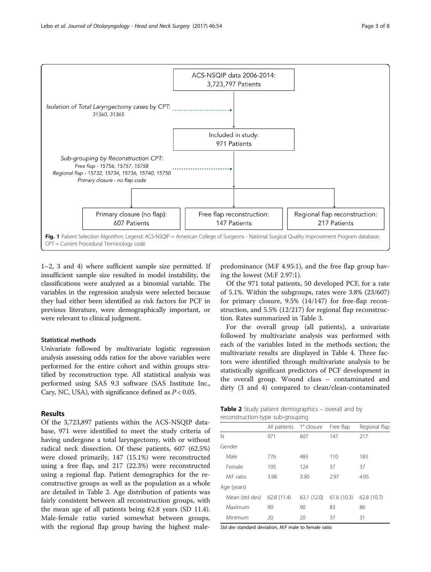<span id="page-2-0"></span>

1–2, 3 and 4) where sufficient sample size permitted. If insufficient sample size resulted in model instability, the classifications were analyzed as a binomial variable. The variables in the regression analysis were selected because they had either been identified as risk factors for PCF in previous literature, were demographically important, or were relevant to clinical judgment.

# Statistical methods

Univariate followed by multivariate logistic regression analysis assessing odds ratios for the above variables were performed for the entire cohort and within groups stratified by reconstruction type. All statistical analysis was performed using SAS 9.3 software (SAS Institute Inc., Cary, NC, USA), with significance defined as  $P < 0.05$ .

## Results

Of the 3,723,897 patients within the ACS-NSQIP database, 971 were identified to meet the study criteria of having undergone a total laryngectomy, with or without radical neck dissection. Of these patients, 607 (62.5%) were closed primarily, 147 (15.1%) were reconstructed using a free flap, and 217 (22.3%) were reconstructed using a regional flap. Patient demographics for the reconstructive groups as well as the population as a whole are detailed in Table 2. Age distribution of patients was fairly consistent between all reconstruction groups, with the mean age of all patients being 62.8 years (SD 11.4). Male-female ratio varied somewhat between groups, with the regional flap group having the highest male-

predominance (M:F 4.95:1), and the free flap group having the lowest (M:F 2.97:1).

Of the 971 total patients, 50 developed PCF, for a rate of 5.1%. Within the subgroups, rates were 3.8% (23/607) for primary closure, 9.5% (14/147) for free-flap reconstruction, and 5.5% (12/217) for regional flap reconstruction. Rates summarized in Table [3.](#page-3-0)

For the overall group (all patients), a univariate followed by multivariate analysis was performed with each of the variables listed in the methods section; the multivariate results are displayed in Table [4](#page-3-0). Three factors were identified through multivariate analysis to be statistically significant predictors of PCF development in the overall group. Wound class – contaminated and dirty (3 and 4) compared to clean/clean-contaminated

| <b>Table 2</b> Study patient demographics – overall and by |  |
|------------------------------------------------------------|--|
| reconstruction-type sub-grouping                           |  |

| recordered type sab grouping |              |             |            |               |
|------------------------------|--------------|-------------|------------|---------------|
|                              | All patients | 1° closure  | Free flap  | Regional flap |
| Ν                            | 971          | 607         | 147        | 217           |
| Gender                       |              |             |            |               |
| Male                         | 776          | 483         | 110        | 183           |
| Female                       | 195          | 124         | 37         | 37            |
| M:F ratio                    | 3.98         | 3.90        | 2.97       | 4.95          |
| Age (years)                  |              |             |            |               |
| Mean (std dev)               | 62.8 (11.4)  | 63.1 (12.0) | 61.6(10.3) | 62.8 (10.7)   |
| Maximum                      | 90           | 90          | 83         | 86            |
| Minimum                      | 20           | 20          | 37         | 31            |

Std dev standard deviation, M:F male to female ratio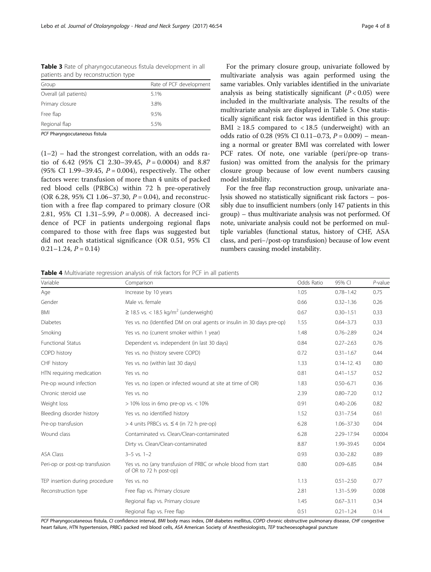<span id="page-3-0"></span>Table 3 Rate of pharyngocutaneous fistula development in all patients and by reconstruction type

| Group                  | Rate of PCF development |
|------------------------|-------------------------|
| Overall (all patients) | 5.1%                    |
| Primary closure        | 3.8%                    |
| Free flap              | 9.5%                    |
| Regional flap          | 5.5%                    |

PCF Pharyngocutaneous fistula

 $(1-2)$  – had the strongest correlation, with an odds ratio of 6.42 (95% CI 2.30–39.45,  $P = 0.0004$ ) and 8.87 (95% CI 1.99-39.45,  $P = 0.004$ ), respectively. The other factors were: transfusion of more than 4 units of packed red blood cells (PRBCs) within 72 h pre-operatively (OR 6.28, 95% CI 1.06–37.30,  $P = 0.04$ ), and reconstruction with a free flap compared to primary closure (OR 2.81, 95% CI 1.31–5.99, P = 0.008). A decreased incidence of PCF in patients undergoing regional flaps compared to those with free flaps was suggested but did not reach statistical significance (OR 0.51, 95% CI  $0.21 - 1.24$ ,  $P = 0.14$ 

For the primary closure group, univariate followed by multivariate analysis was again performed using the same variables. Only variables identified in the univariate analysis as being statistically significant  $(P < 0.05)$  were included in the multivariate analysis. The results of the multivariate analysis are displayed in Table [5](#page-4-0). One statistically significant risk factor was identified in this group: BMI  $\geq$  18.5 compared to < 18.5 (underweight) with an odds ratio of 0.28 (95% CI 0.11–0.73,  $P = 0.009$ ) – meaning a normal or greater BMI was correlated with lower PCF rates. Of note, one variable (peri/pre-op transfusion) was omitted from the analysis for the primary closure group because of low event numbers causing model instability.

For the free flap reconstruction group, univariate analysis showed no statistically significant risk factors – possibly due to insufficient numbers (only 147 patients in this group) – thus multivariate analysis was not performed. Of note, univariate analysis could not be performed on multiple variables (functional status, history of CHF, ASA class, and peri−/post-op transfusion) because of low event numbers causing model instability.

Table 4 Multivariate regression analysis of risk factors for PCF in all patients

| Variable                       | Comparison                                                                              | Odds Ratio | 95% CI         | $P$ -value |
|--------------------------------|-----------------------------------------------------------------------------------------|------------|----------------|------------|
| Age                            | Increase by 10 years                                                                    | 1.05       | $0.78 - 1.42$  | 0.75       |
| Gender                         | Male vs. female                                                                         | 0.66       | $0.32 - 1.36$  | 0.26       |
| <b>BMI</b>                     | $\geq$ 18.5 vs. < 18.5 kg/m <sup>2</sup> (underweight)                                  | 0.67       | $0.30 - 1.51$  | 0.33       |
| <b>Diabetes</b>                | Yes vs. no (Identified DM on oral agents or insulin in 30 days pre-op)                  | 1.55       | $0.64 - 3.73$  | 0.33       |
| Smoking                        | Yes vs. no (current smoker within 1 year)                                               | 1.48       | $0.76 - 2.89$  | 0.24       |
| <b>Functional Status</b>       | Dependent vs. independent (in last 30 days)                                             | 0.84       | $0.27 - 2.63$  | 0.76       |
| COPD history                   | Yes vs. no (history severe COPD)                                                        | 0.72       | $0.31 - 1.67$  | 0.44       |
| CHF history                    | Yes vs. no (within last 30 days)                                                        | 1.33       | $0.14 - 12.43$ | 0.80       |
| HTN requiring medication       | Yes vs. no                                                                              | 0.81       | $0.41 - 1.57$  | 0.52       |
| Pre-op wound infection         | Yes vs. no (open or infected wound at site at time of OR)                               | 1.83       | $0.50 - 6.71$  | 0.36       |
| Chronic steroid use            | Yes vs. no                                                                              | 2.39       | $0.80 - 7.20$  | 0.12       |
| Weight loss                    | $>$ 10% loss in 6mo pre-op vs. $<$ 10%                                                  | 0.91       | $0.40 - 2.06$  | 0.82       |
| Bleeding disorder history      | Yes vs. no identified history                                                           | 1.52       | $0.31 - 7.54$  | 0.61       |
| Pre-op transfusion             | > 4 units PRBCs vs. $\leq$ 4 (in 72 h pre-op)                                           | 6.28       | 1.06-37.30     | 0.04       |
| Wound class                    | Contaminated vs. Clean/Clean-contaminated                                               | 6.28       | 2.29-17.94     | 0.0004     |
|                                | Dirty vs. Clean/Clean-contaminated                                                      | 8.87       | 1.99-39.45     | 0.004      |
| ASA Class                      | $3-5$ vs. $1-2$                                                                         | 0.93       | $0.30 - 2.82$  | 0.89       |
| Peri-op or post-op transfusion | Yes vs. no (any transfusion of PRBC or whole blood from start<br>of OR to 72 h post-op) | 0.80       | $0.09 - 6.85$  | 0.84       |
| TEP insertion during procedure | Yes vs. no                                                                              | 1.13       | $0.51 - 2.50$  | 0.77       |
| Reconstruction type            | Free flap vs. Primary closure                                                           | 2.81       | $1.31 - 5.99$  | 0.008      |
|                                | Regional flap vs. Primary closure                                                       | 1.45       | $0.67 - 3.11$  | 0.34       |
|                                | Regional flap vs. Free flap                                                             | 0.51       | $0.21 - 1.24$  | 0.14       |

PCF Pharyngocutaneous fistula, CI confidence interval, BMI body mass index, DM diabetes mellitus, COPD chronic obstructive pulmonary disease, CHF congestive heart failure, HTN hypertension, PRBCs packed red blood cells, ASA American Society of Anesthesiologists, TEP tracheoesophageal puncture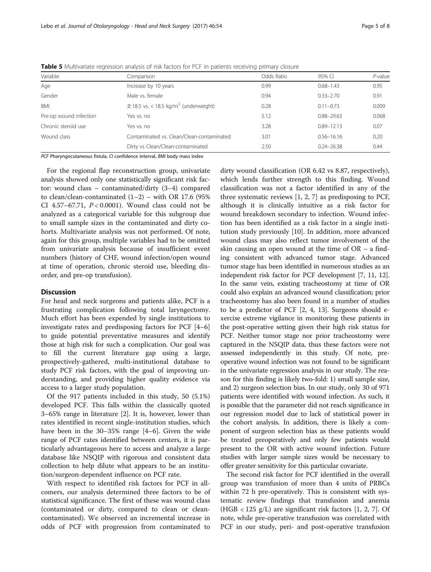| Variable               | Comparison                                             | Odds Ratio | 95% CI         | $P$ -value |
|------------------------|--------------------------------------------------------|------------|----------------|------------|
| Age                    | Increase by 10 years                                   | 0.99       | $0.68 - 1.43$  | 0.95       |
| Gender                 | Male vs. female                                        | 0.94       | $0.33 - 2.70$  | 0.91       |
| <b>BMI</b>             | $\geq$ 18.5 vs. < 18.5 kg/m <sup>2</sup> (underweight) | 0.28       | $0.11 - 0.73$  | 0.009      |
| Pre-op wound infection | Yes vs. no                                             | 5.12       | $0.88 - 29.63$ | 0.068      |
| Chronic steroid use    | Yes vs. no                                             | 3.28       | $0.89 - 12.13$ | 0.07       |
| Wound class            | Contaminated vs. Clean/Clean-contaminated              | 3.01       | $0.56 - 16.16$ | 0.20       |
|                        | Dirty vs Clean/Clean-contaminated                      | 2.50       | $0.24 - 26.38$ | 0.44       |

<span id="page-4-0"></span>Table 5 Multivariate regression analysis of risk factors for PCF in patients receiving primary closure

PCF Pharyngocutaneous fistula, CI confidence interval, BMI body mass index

For the regional flap reconstruction group, univariate analysis showed only one statistically significant risk factor: wound class – contaminated/dirty (3–4) compared to clean/clean-contaminated  $(1-2)$  – with OR 17.6 (95%) CI 4.57-67.71,  $P < 0.0001$ ). Wound class could not be analyzed as a categorical variable for this subgroup due to small sample sizes in the contaminated and dirty cohorts. Multivariate analysis was not performed. Of note, again for this group, multiple variables had to be omitted from univariate analysis because of insufficient event numbers (history of CHF, wound infection/open wound at time of operation, chronic steroid use, bleeding disorder, and pre-op transfusion).

# **Discussion**

For head and neck surgeons and patients alike, PCF is a frustrating complication following total laryngectomy. Much effort has been expended by single institutions to investigate rates and predisposing factors for PCF [[4](#page-6-0)–[6](#page-6-0)] to guide potential preventative measures and identify those at high risk for such a complication. Our goal was to fill the current literature gap using a large, prospectively-gathered, multi-institutional database to study PCF risk factors, with the goal of improving understanding, and providing higher quality evidence via access to a larger study population.

Of the 917 patients included in this study, 50 (5.1%) developed PCF. This falls within the classically quoted 3–65% range in literature [\[2\]](#page-6-0). It is, however, lower than rates identified in recent single-institution studies, which have been in the 30–35% range [\[4](#page-6-0)–[6\]](#page-6-0). Given the wide range of PCF rates identified between centers, it is particularly advantageous here to access and analyze a large database like NSQIP with rigorous and consistent data collection to help dilute what appears to be an institution/surgeon-dependent influence on PCF rate.

With respect to identified risk factors for PCF in allcomers, our analysis determined three factors to be of statistical significance. The first of these was wound class (contaminated or dirty, compared to clean or cleancontaminated). We observed an incremental increase in odds of PCF with progression from contaminated to

dirty wound classification (OR 6.42 vs 8.87, respectively), which lends further strength to this finding. Wound classification was not a factor identified in any of the three systematic reviews [[1, 2, 7](#page-6-0)] as predisposing to PCF, although it is clinically intuitive as a risk factor for wound breakdown secondary to infection. Wound infection has been identified as a risk factor in a single institution study previously [\[10\]](#page-6-0). In addition, more advanced wound class may also reflect tumor involvement of the skin causing an open wound at the time of  $OR - a$  finding consistent with advanced tumor stage. Advanced tumor stage has been identified in numerous studies as an independent risk factor for PCF development [[7,](#page-6-0) [11, 12](#page-7-0)]. In the same vein, existing tracheostomy at time of OR could also explain an advanced wound classification; prior tracheostomy has also been found in a number of studies to be a predictor of PCF [\[2, 4](#page-6-0), [13](#page-7-0)]. Surgeons should exercise extreme vigilance in monitoring these patients in the post-operative setting given their high risk status for PCF. Neither tumor stage nor prior tracheostomy were captured in the NSQIP data, thus these factors were not assessed independently in this study. Of note, preoperative wound infection was not found to be significant in the univariate regression analysis in our study. The reason for this finding is likely two-fold: 1) small sample size, and 2) surgeon selection bias. In our study, only 30 of 971 patients were identified with wound infection. As such, it is possible that the parameter did not reach significance in our regression model due to lack of statistical power in the cohort analysis. In addition, there is likely a component of surgeon selection bias as these patients would be treated preoperatively and only few patients would present to the OR with active wound infection. Future studies with larger sample sizes would be necessary to offer greater sensitivity for this particular covariate.

The second risk factor for PCF identified in the overall group was transfusion of more than 4 units of PRBCs within 72 h pre-operatively. This is consistent with systematic review findings that transfusion and anemia (HGB < 125 g/L) are significant risk factors [[1, 2](#page-6-0), [7](#page-6-0)]. Of note, while pre-operative transfusion was correlated with PCF in our study, peri- and post-operative transfusion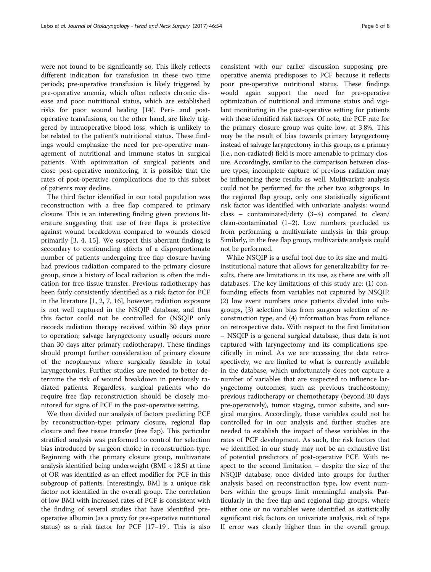were not found to be significantly so. This likely reflects different indication for transfusion in these two time periods; pre-operative transfusion is likely triggered by pre-operative anemia, which often reflects chronic disease and poor nutritional status, which are established risks for poor wound healing [[14\]](#page-7-0). Peri- and postoperative transfusions, on the other hand, are likely triggered by intraoperative blood loss, which is unlikely to be related to the patient's nutritional status. These findings would emphasize the need for pre-operative management of nutritional and immune status in surgical patients. With optimization of surgical patients and close post-operative monitoring, it is possible that the rates of post-operative complications due to this subset of patients may decline.

The third factor identified in our total population was reconstruction with a free flap compared to primary closure. This is an interesting finding given previous literature suggesting that use of free flaps is protective against wound breakdown compared to wounds closed primarily [\[3, 4,](#page-6-0) [15\]](#page-7-0). We suspect this aberrant finding is secondary to confounding effects of a disproportionate number of patients undergoing free flap closure having had previous radiation compared to the primary closure group, since a history of local radiation is often the indication for free-tissue transfer. Previous radiotherapy has been fairly consistently identified as a risk factor for PCF in the literature [\[1, 2](#page-6-0), [7](#page-6-0), [16](#page-7-0)], however, radiation exposure is not well captured in the NSQIP database, and thus this factor could not be controlled for (NSQIP only records radiation therapy received within 30 days prior to operation; salvage laryngectomy usually occurs more than 30 days after primary radiotherapy). These findings should prompt further consideration of primary closure of the neopharynx where surgically feasible in total laryngectomies. Further studies are needed to better determine the risk of wound breakdown in previously radiated patients. Regardless, surgical patients who do require free flap reconstruction should be closely monitored for signs of PCF in the post-operative setting.

We then divided our analysis of factors predicting PCF by reconstruction-type: primary closure, regional flap closure and free tissue transfer (free flap). This particular stratified analysis was performed to control for selection bias introduced by surgeon choice in reconstruction-type. Beginning with the primary closure group, multivariate analysis identified being underweight (BMI < 18.5) at time of OR was identified as an effect modifier for PCF in this subgroup of patients. Interestingly, BMI is a unique risk factor not identified in the overall group. The correlation of low BMI with increased rates of PCF is consistent with the finding of several studies that have identified preoperative albumin (as a proxy for pre-operative nutritional status) as a risk factor for PCF [[17](#page-7-0)–[19](#page-7-0)]. This is also

consistent with our earlier discussion supposing preoperative anemia predisposes to PCF because it reflects poor pre-operative nutritional status. These findings would again support the need for pre-operative optimization of nutritional and immune status and vigilant monitoring in the post-operative setting for patients with these identified risk factors. Of note, the PCF rate for the primary closure group was quite low, at 3.8%. This may be the result of bias towards primary laryngectomy instead of salvage laryngectomy in this group, as a primary (i.e., non-radiated) field is more amenable to primary closure. Accordingly, similar to the comparison between closure types, incomplete capture of previous radiation may be influencing these results as well. Multivariate analysis could not be performed for the other two subgroups. In the regional flap group, only one statistically significant risk factor was identified with univariate analysis: wound class – contaminated/dirty (3–4) compared to clean/ clean-contaminated (1–2). Low numbers precluded us from performing a multivariate analysis in this group. Similarly, in the free flap group, multivariate analysis could not be performed.

While NSQIP is a useful tool due to its size and multiinstitutional nature that allows for generalizability for results, there are limitations in its use, as there are with all databases. The key limitations of this study are: (1) confounding effects from variables not captured by NSQIP, (2) low event numbers once patients divided into subgroups, (3) selection bias from surgeon selection of reconstruction type, and (4) information bias from reliance on retrospective data. With respect to the first limitation – NSQIP is a general surgical database, thus data is not captured with laryngectomy and its complications specifically in mind. As we are accessing the data retrospectively, we are limited to what is currently available in the database, which unfortunately does not capture a number of variables that are suspected to influence laryngectomy outcomes, such as: previous tracheostomy, previous radiotherapy or chemotherapy (beyond 30 days pre-operatively), tumor staging, tumor subsite, and surgical margins. Accordingly, these variables could not be controlled for in our analysis and further studies are needed to establish the impact of these variables in the rates of PCF development. As such, the risk factors that we identified in our study may not be an exhaustive list of potential predictors of post-operative PCF. With respect to the second limitation – despite the size of the NSQIP database, once divided into groups for further analysis based on reconstruction type, low event numbers within the groups limit meaningful analysis. Particularly in the free flap and regional flap groups, where either one or no variables were identified as statistically significant risk factors on univariate analysis, risk of type II error was clearly higher than in the overall group.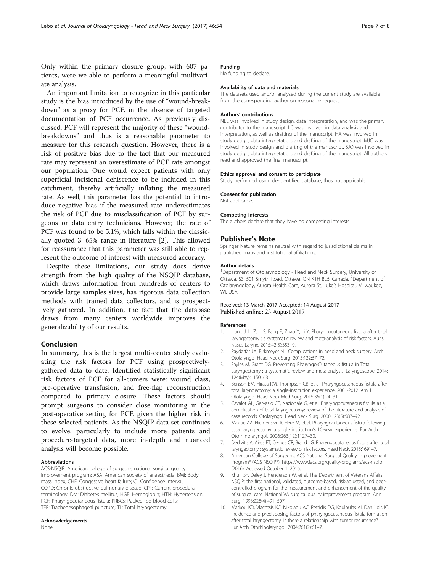<span id="page-6-0"></span>Only within the primary closure group, with 607 patients, were we able to perform a meaningful multivariate analysis.

An important limitation to recognize in this particular study is the bias introduced by the use of "wound-breakdown" as a proxy for PCF, in the absence of targeted documentation of PCF occurrence. As previously discussed, PCF will represent the majority of these "woundbreakdowns" and thus is a reasonable parameter to measure for this research question. However, there is a risk of positive bias due to the fact that our measured rate may represent an overestimate of PCF rate amongst our population. One would expect patients with only superficial incisional dehiscence to be included in this catchment, thereby artificially inflating the measured rate. As well, this parameter has the potential to introduce negative bias if the measured rate underestimates the risk of PCF due to misclassification of PCF by surgeons or data entry technicians. However, the rate of PCF was found to be 5.1%, which falls within the classically quoted 3–65% range in literature [2]. This allowed for reassurance that this parameter was still able to represent the outcome of interest with measured accuracy.

Despite these limitations, our study does derive strength from the high quality of the NSQIP database, which draws information from hundreds of centers to provide large samples sizes, has rigorous data collection methods with trained data collectors, and is prospectively gathered. In addition, the fact that the database draws from many centers worldwide improves the generalizability of our results.

## Conclusion

In summary, this is the largest multi-center study evaluating the risk factors for PCF using prospectivelygathered data to date. Identified statistically significant risk factors of PCF for all-comers were: wound class, pre-operative transfusion, and free-flap reconstruction compared to primary closure. These factors should prompt surgeons to consider close monitoring in the post-operative setting for PCF, given the higher risk in these selected patients. As the NSQIP data set continues to evolve, particularly to include more patients and procedure-targeted data, more in-depth and nuanced analysis will become possible.

#### Abbreviations

ACS-NSQIP: American college of surgeons national surgical quality improvement program; ASA: American society of anaesthesia; BMI: Body mass index; CHF: Congestive heart failure; CI: Confidence interval; COPD: Chronic obstructive pulmonary disease; CPT: Current procedural terminology; DM: Diabetes mellitus; HGB: Hemoglobin; HTN: Hypertension; PCF: Pharyngocutaneous fistula; PRBCs: Packed red blood cells; TEP: Tracheoesophageal puncture; TL: Total laryngectomy

#### Acknowledgements

None.

## Funding

No funding to declare.

#### Availability of data and materials

The datasets used and/or analysed during the current study are available from the corresponding author on reasonable request.

#### Authors' contributions

NLL was involved in study design, data interpretation, and was the primary contributor to the manuscript. LC was involved in data analysis and interpretation, as well as drafting of the manuscript. HA was involved in study design, data interpretation, and drafting of the manuscript. MJC was involved in study design and drafting of the manuscript. SJO was involved in study design, data interpretation, and drafting of the manuscript. All authors read and approved the final manuscript.

#### Ethics approval and consent to participate

Study performed using de-identified database, thus not applicable.

#### Consent for publication

Not applicable.

#### Competing interests

The authors declare that they have no competing interests.

#### Publisher's Note

Springer Nature remains neutral with regard to jurisdictional claims in published maps and institutional affiliations.

#### Author details

<sup>1</sup>Department of Otolaryngology - Head and Neck Surgery, University of Ottawa, S3, 501 Smyth Road, Ottawa, ON K1H 8L6, Canada. <sup>2</sup> Department of Otolaryngology, Aurora Health Care, Aurora St. Luke's Hospital, Milwaukee, WI, USA.

## Received: 13 March 2017 Accepted: 14 August 2017 Published online: 23 August 2017

#### References

- 1. Liang J, Li Z, Li S, Fang F, Zhao Y, Li Y. Pharyngocutaneous fistula after total laryngectomy : a systematic review and meta-analysis of risk factors. Auris Nasus Larynx. 2015;42(5):353–9.
- 2. Paydarfar JA, Birkmeyer NJ, Complications in head and neck surgery. Arch Otolaryngol Head Neck Surg. 2015;132:67–72.
- 3. Sayles M, Grant DG. Preventing Pharyngo-Cutaneous fistula in Total Laryngectomy : a systematic review and meta-analysis. Laryngoscope. 2014; 124(May):1150–63.
- 4. Benson EM, Hirata RM, Thompson CB, et al. Pharyngocutaneous fistula after total laryngectomy: a single-institution experience, 2001-2012. Am J Otolaryngol Head Neck Med Surg. 2015;36(1):24–31.
- 5. Cavalot AL, Gervasio CF, Nazionale G, et al. Pharyngocutaneous fistula as a complication of total laryngectomy: review of the literature and analysis of case records. Otolaryngol Head Neck Surg. 2000;123(5):587–92.
- 6. Mäkitie AA, Niemensivu R, Hero M, et al. Pharyngocutaneous fistula following total laryngectomy: a single institution's 10-year experience. Eur Arch Otorhinolaryngol. 2006;263(12):1127–30.
- 7. Dedivitis A, Aires FT, Cernea CR, Brand LG. Pharyngocutaneous fistula after total laryngectomy : systematic review of risk factors. Head Neck. 2015:1691–7.
- 8. American College of Surgeons. ACS National Surgical Quality Improvement Program® (ACS NSQIP®).<https://www.facs.org/quality-programs/acs-nsqip> (2016). Accessed October 1, 2016.
- 9. Khuri SF, Daley J, Henderson W, et al. The Department of Veterans Affairs' NSQIP: the first national, validated, outcome-based, risk-adjusted, and peercontrolled program for the measurement and enhancement of the quality of surgical care. National VA surgical quality improvement program. Ann Surg. 1998;228(4):491–507.
- 10. Markou KD, Vlachtsis KC, Nikolaou AC, Petridis DG, Kouloulas AI, Daniilidis IC. Incidence and predisposing factors of pharyngocutaneous fistula formation after total laryngectomy. Is there a relationship with tumor recurrence? Eur Arch Otorhinolaryngol. 2004;261(2):61–7.